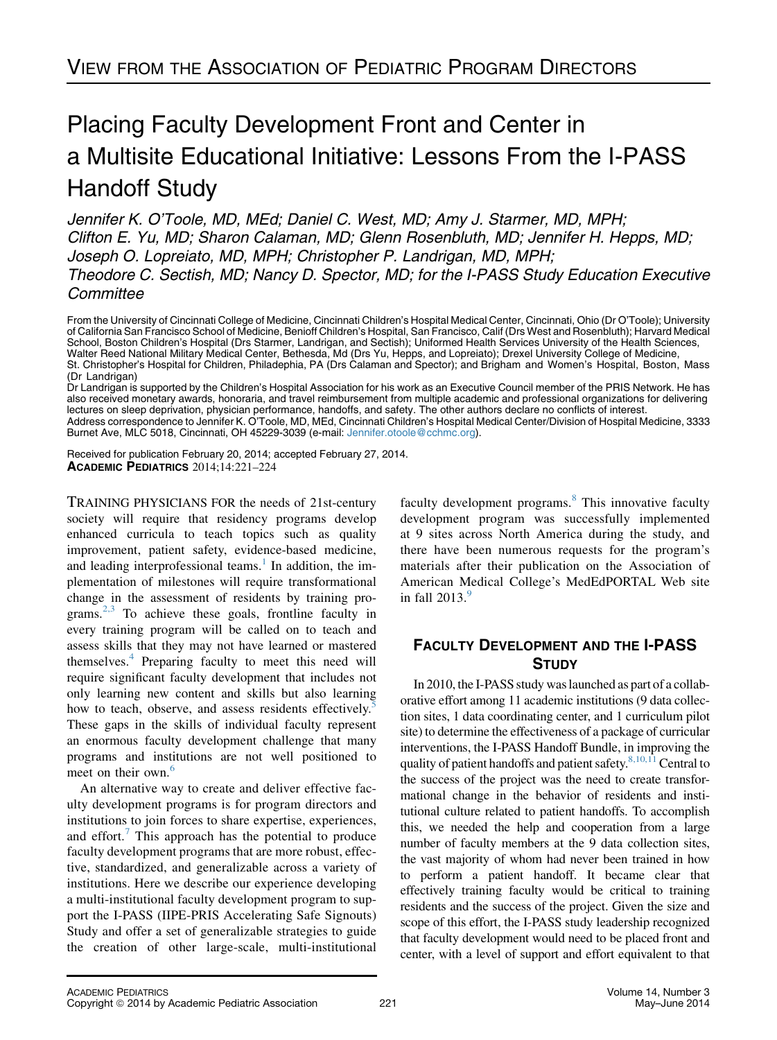# Placing Faculty Development Front and Center in a Multisite Educational Initiative: Lessons From the I-PASS Handoff Study

Jennifer K. O'Toole, MD, MEd; Daniel C. West, MD; Amy J. Starmer, MD, MPH; Clifton E. Yu, MD; Sharon Calaman, MD; Glenn Rosenbluth, MD; Jennifer H. Hepps, MD; Joseph O. Lopreiato, MD, MPH; Christopher P. Landrigan, MD, MPH; Theodore C. Sectish, MD; Nancy D. Spector, MD; for the I-PASS Study Education Executive **Committee** 

From the University of Cincinnati College of Medicine, Cincinnati Children's Hospital Medical Center, Cincinnati, Ohio (Dr O'Toole); University of California San Francisco School of Medicine, Benioff Children's Hospital, San Francisco, Calif (Drs West and Rosenbluth); Harvard Medical School, Boston Children's Hospital (Drs Starmer, Landrigan, and Sectish); Uniformed Health Services University of the Health Sciences, Walter Reed National Military Medical Center, Bethesda, Md (Drs Yu, Hepps, and Lopreiato); Drexel University College of Medicine, St. Christopher's Hospital for Children, Philadephia, PA (Drs Calaman and Spector); and Brigham and Women's Hospital, Boston, Mass (Dr Landrigan)

Dr Landrigan is supported by the Children's Hospital Association for his work as an Executive Council member of the PRIS Network. He has also received monetary awards, honoraria, and travel reimbursement from multiple academic and professional organizations for delivering lectures on sleep deprivation, physician performance, handoffs, and safety. The other authors declare no conflicts of interest. Address correspondence to Jennifer K. O'Toole, MD, MEd, Cincinnati Children's Hospital Medical Center/Division of Hospital Medicine, 3333 Burnet Ave, MLC 5018, Cincinnati, OH 45229-3039 (e-mail: [Jennifer.otoole@cchmc.org\)](mailto:Jennifer.otoole@cchmc.org).

Received for publication February 20, 2014; accepted February 27, 2014. ACADEMIC PEDIATRICS 2014;14:221–224

TRAINING PHYSICIANS FOR the needs of 21st-century society will require that residency programs develop enhanced curricula to teach topics such as quality improvement, patient safety, evidence-based medicine, and leading interprofessional teams.<sup>[1](#page-3-0)</sup> In addition, the implementation of milestones will require transformational change in the assessment of residents by training programs. $2,3$  To achieve these goals, frontline faculty in every training program will be called on to teach and assess skills that they may not have learned or mastered themselves.[4](#page-3-0) Preparing faculty to meet this need will require significant faculty development that includes not only learning new content and skills but also learning how to teach, observe, and assess residents effectively.<sup>[5](#page-3-0)</sup> These gaps in the skills of individual faculty represent an enormous faculty development challenge that many programs and institutions are not well positioned to meet on their own.<sup>[6](#page-3-0)</sup>

An alternative way to create and deliver effective faculty development programs is for program directors and institutions to join forces to share expertise, experiences, and effort.<sup>[7](#page-3-0)</sup> This approach has the potential to produce faculty development programs that are more robust, effective, standardized, and generalizable across a variety of institutions. Here we describe our experience developing a multi-institutional faculty development program to support the I-PASS (IIPE-PRIS Accelerating Safe Signouts) Study and offer a set of generalizable strategies to guide the creation of other large-scale, multi-institutional

faculty development programs.<sup>[8](#page-3-0)</sup> This innovative faculty development program was successfully implemented at 9 sites across North America during the study, and there have been numerous requests for the program's materials after their publication on the Association of American Medical College's MedEdPORTAL Web site in fall  $2013$ .

# **FACULTY DEVELOPMENT AND THE I-PASS** FACULTY DEVELOPMENT AND THE I-PASS

In 2010, the I-PASS study was launched as part of a collaborative effort among 11 academic institutions (9 data collection sites, 1 data coordinating center, and 1 curriculum pilot site) to determine the effectiveness of a package of curricular interventions, the I-PASS Handoff Bundle, in improving the quality of patient handoffs and patient safety. $8,10,11$  Central to the success of the project was the need to create transformational change in the behavior of residents and institutional culture related to patient handoffs. To accomplish this, we needed the help and cooperation from a large number of faculty members at the 9 data collection sites, the vast majority of whom had never been trained in how to perform a patient handoff. It became clear that effectively training faculty would be critical to training residents and the success of the project. Given the size and scope of this effort, the I-PASS study leadership recognized that faculty development would need to be placed front and center, with a level of support and effort equivalent to that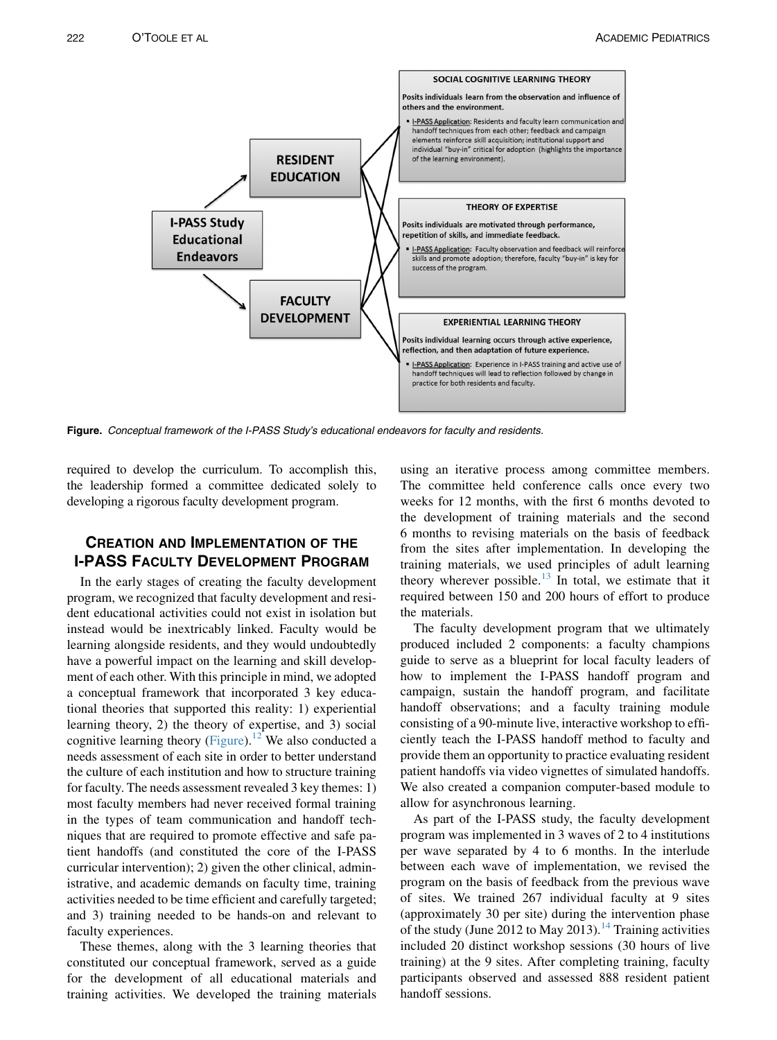

Figure. Conceptual framework of the I-PASS Study's educational endeavors for faculty and residents.

required to develop the curriculum. To accomplish this, the leadership formed a committee dedicated solely to developing a rigorous faculty development program.

# **CREATION AND IMPLEMENTATION OF THE I-PASS FACULTY DEVELOPMENT PROGRAM**

In the early stages of creating the faculty development program, we recognized that faculty development and resident educational activities could not exist in isolation but instead would be inextricably linked. Faculty would be learning alongside residents, and they would undoubtedly have a powerful impact on the learning and skill development of each other. With this principle in mind, we adopted a conceptual framework that incorporated 3 key educational theories that supported this reality: 1) experiential learning theory, 2) the theory of expertise, and 3) social cognitive learning theory (Figure).<sup>[12](#page-3-0)</sup> We also conducted a needs assessment of each site in order to better understand the culture of each institution and how to structure training for faculty. The needs assessment revealed 3 key themes: 1) most faculty members had never received formal training in the types of team communication and handoff techniques that are required to promote effective and safe patient handoffs (and constituted the core of the I-PASS curricular intervention); 2) given the other clinical, administrative, and academic demands on faculty time, training activities needed to be time efficient and carefully targeted; and 3) training needed to be hands-on and relevant to faculty experiences.

These themes, along with the 3 learning theories that constituted our conceptual framework, served as a guide for the development of all educational materials and training activities. We developed the training materials

using an iterative process among committee members. The committee held conference calls once every two weeks for 12 months, with the first 6 months devoted to the development of training materials and the second 6 months to revising materials on the basis of feedback from the sites after implementation. In developing the training materials, we used principles of adult learning theory wherever possible.<sup>[13](#page-3-0)</sup> In total, we estimate that it required between 150 and 200 hours of effort to produce the materials.

The faculty development program that we ultimately produced included 2 components: a faculty champions guide to serve as a blueprint for local faculty leaders of how to implement the I-PASS handoff program and campaign, sustain the handoff program, and facilitate handoff observations; and a faculty training module consisting of a 90-minute live, interactive workshop to efficiently teach the I-PASS handoff method to faculty and provide them an opportunity to practice evaluating resident patient handoffs via video vignettes of simulated handoffs. We also created a companion computer-based module to allow for asynchronous learning.

As part of the I-PASS study, the faculty development program was implemented in 3 waves of 2 to 4 institutions per wave separated by 4 to 6 months. In the interlude between each wave of implementation, we revised the program on the basis of feedback from the previous wave of sites. We trained 267 individual faculty at 9 sites (approximately 30 per site) during the intervention phase of the study (June 2012 to May 2013).<sup>[14](#page-3-0)</sup> Training activities included 20 distinct workshop sessions (30 hours of live training) at the 9 sites. After completing training, faculty participants observed and assessed 888 resident patient handoff sessions.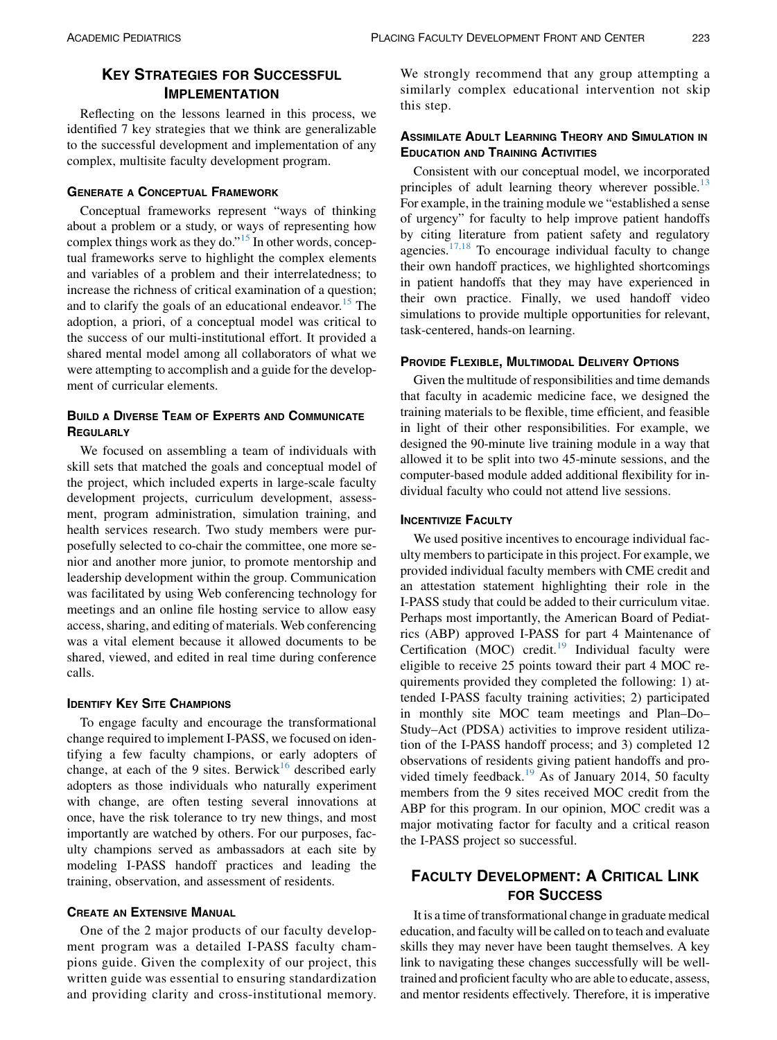Reflecting on the lessons learned in this process, we identified 7 key strategies that we think are generalizable to the successful development and implementation of any complex, multisite faculty development program.

Conceptual frameworks represent "ways of thinking" about a problem or a study, or ways of representing how complex things work as they do."<sup>[15](#page-3-0)</sup> In other words, conceptual frameworks serve to highlight the complex elements and variables of a problem and their interrelatedness; to increase the richness of critical examination of a question; and to clarify the goals of an educational endeavor.<sup>[15](#page-3-0)</sup> The adoption, a priori, of a conceptual model was critical to the success of our multi-institutional effort. It provided a shared mental model among all collaborators of what we were attempting to accomplish and a guide for the development of curricular elements.

## **BUILD A DIVERSE TEAM OF EXPERTS AND COMMUNICATE REGULARLY**

We focused on assembling a team of individuals with skill sets that matched the goals and conceptual model of the project, which included experts in large-scale faculty development projects, curriculum development, assessment, program administration, simulation training, and health services research. Two study members were purposefully selected to co-chair the committee, one more senior and another more junior, to promote mentorship and leadership development within the group. Communication was facilitated by using Web conferencing technology for meetings and an online file hosting service to allow easy access, sharing, and editing of materials. Web conferencing was a vital element because it allowed documents to be shared, viewed, and edited in real time during conference calls.

### **IDENTIFY KEY SITE CHAMPIONS**

To engage faculty and encourage the transformational change required to implement I-PASS, we focused on identifying a few faculty champions, or early adopters of change, at each of the 9 sites. Berwick<sup>[16](#page-3-0)</sup> described early adopters as those individuals who naturally experiment with change, are often testing several innovations at once, have the risk tolerance to try new things, and most importantly are watched by others. For our purposes, faculty champions served as ambassadors at each site by modeling I-PASS handoff practices and leading the training, observation, and assessment of residents.

### **CREATE AN EXTENSIVE MANUAL**

One of the 2 major products of our faculty development program was a detailed I-PASS faculty champions guide. Given the complexity of our project, this written guide was essential to ensuring standardization and providing clarity and cross-institutional memory.

We strongly recommend that any group attempting a similarly complex educational intervention not skip this step.

# Assimilate Adult Learning Theory and Simulation in<br>Education and Training Activities

**EDUCATION AND TRAINING ACTIVITIES**<br>Consistent with our conceptual model, we incorporated principles of adult learning theory wherever possible.<sup>[13](#page-3-0)</sup> For example, in the training module we "established a sense of urgency" for faculty to help improve patient handoffs by citing literature from patient safety and regulatory agencies. $17,18$  To encourage individual faculty to change their own handoff practices, we highlighted shortcomings in patient handoffs that they may have experienced in their own practice. Finally, we used handoff video simulations to provide multiple opportunities for relevant, task-centered, hands-on learning.

Given the multitude of responsibilities and time demands that faculty in academic medicine face, we designed the training materials to be flexible, time efficient, and feasible in light of their other responsibilities. For example, we designed the 90-minute live training module in a way that allowed it to be split into two 45-minute sessions, and the computer-based module added additional flexibility for individual faculty who could not attend live sessions.

We used positive incentives to encourage individual faculty members to participate in this project. For example, we provided individual faculty members with CME credit and an attestation statement highlighting their role in the I-PASS study that could be added to their curriculum vitae. Perhaps most importantly, the American Board of Pediatrics (ABP) approved I-PASS for part 4 Maintenance of Certification (MOC) credit.<sup>[19](#page-3-0)</sup> Individual faculty were eligible to receive 25 points toward their part 4 MOC requirements provided they completed the following: 1) attended I-PASS faculty training activities; 2) participated in monthly site MOC team meetings and Plan–Do– Study–Act (PDSA) activities to improve resident utilization of the I-PASS handoff process; and 3) completed 12 observations of residents giving patient handoffs and pro-vided timely feedback.<sup>[19](#page-3-0)</sup> As of January 2014, 50 faculty members from the 9 sites received MOC credit from the ABP for this program. In our opinion, MOC credit was a major motivating factor for faculty and a critical reason the I-PASS project so successful.

## **FACULTY DEVELOPMENT: A CRITICAL LINK FOR SUCCESS**

It is a time of transformational change in graduate medical education, and faculty will be called on to teach and evaluate skills they may never have been taught themselves. A key link to navigating these changes successfully will be welltrained and proficient faculty who are able to educate, assess, and mentor residents effectively. Therefore, it is imperative